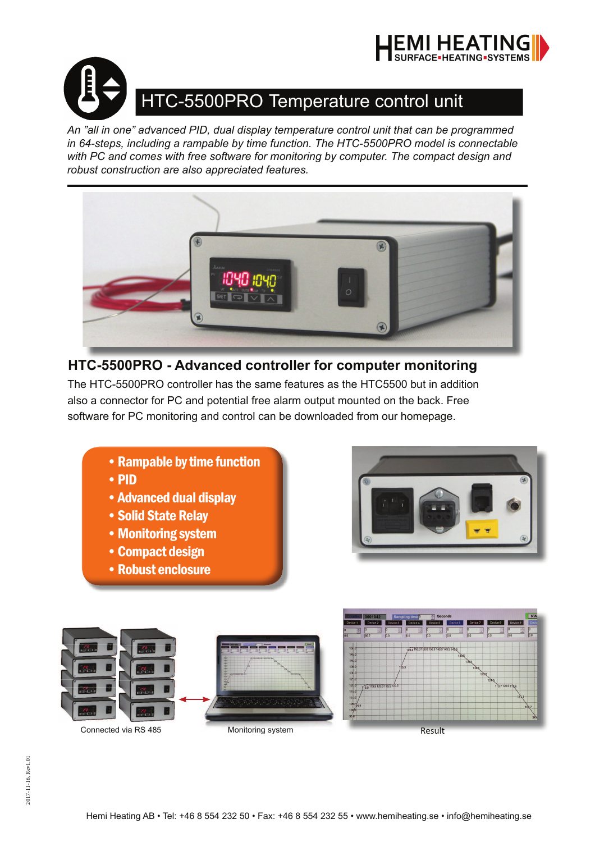



# HTC-5500PRO Temperature control unit

*An "all in one" advanced PID, dual display temperature control unit that can be programmed in 64-steps, including a rampable by time function. The HTC-5500PRO model is connectable with PC and comes with free software for monitoring by computer. The compact design and robust construction are also appreciated features.* 



## **HTC-5500PRO - Advanced controller for computer monitoring**

The HTC-5500PRO controller has the same features as the HTC5500 but in addition also a connector for PC and potential free alarm output mounted on the back. Free software for PC monitoring and control can be downloaded from our homepage.

- Rampable by time function
- PID
- Advanced dual display
- Solid State Relay
- Monitoring system
- Compact design
- Robust enclosure





130.0<br>125.0<br>120.0<br>115.0<br>110.0<br>105.5